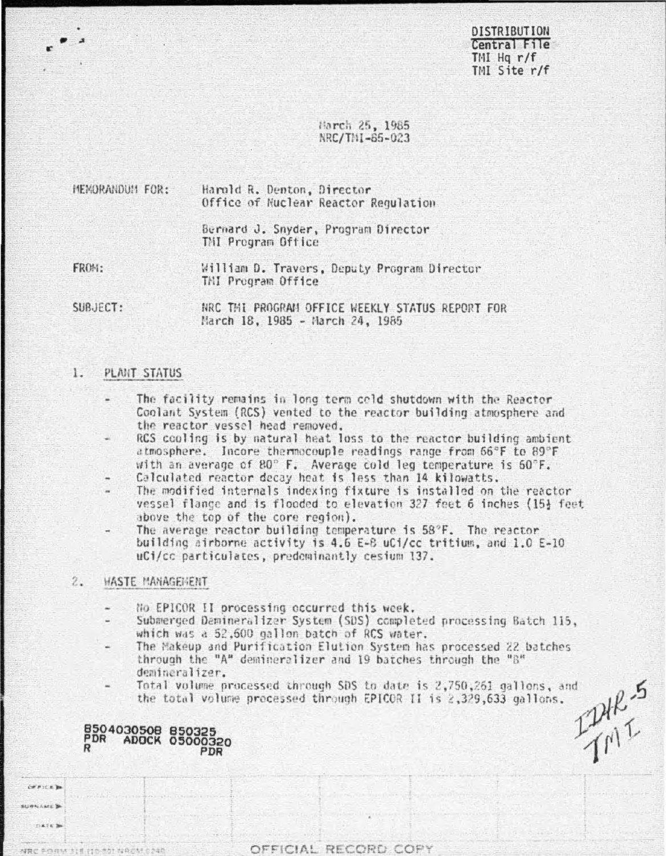**DISTRIBUTION** Central File  $TMI$  Ha  $r/f$ TMI Site r/f

# March 25, 1985 NRC/TNI-65-023

MEMORANDUM FOR: Harold R. Denton, Director Office of Nuclear Reactor Regulation

> Bernard J. Snyder, Program Director TMI Program Office

FROM:

William D. Travers, Deputy Program Director TMI Program Office

SUBJECT:

NRC THI PROGRAM OFFICE WEEKLY STATUS REPORT FOR March 18, 1985 - March 24, 1985

## PLANT STATUS 1.

- The facility remains in long term celd shutdown with the Reactor Coolant System (RCS) vented to the reactor building atmosphere and the reactor vessel head removed.
- RCS cooling is by natural heat loss to the reactor building ambient atmosphere. Incore thermocouple readings range from 66°F to 89°F with an average of 80° F. Average cold leg temperature is 60°F.
- Calculated reactor decay heat is less than 14 kilowatts.
- The modified internals indexing fixture is installed on the reactor vessel flange and is flooded to elevation 327 feet 6 inches (15} feet above the top of the core region).
- The average reactor building temperature is 58°F. The reactor building airborne activity is 4.6 E-8 uCi/cc tritium, and 1.0 E-10 uCi/cc particulates, predeminantly cesium 137.

## $2.1$ *HASTE MANAGEHENT*

B504030508 850325<br>PDR ADOCK 05000320

**OFFICE** SURNAME SA  $L$ ATA 3

NRC FORM 314 (10-20) NACM (

PDR

- No EPICOR II processing occurred this week.
- Submerged Damineralizer System (SDS) completed processing Batch 115, which was a 52,600 gallon batch of RCS water.
- The Makeup and Purification Elution System has processed 22 batches through the "A" demineralizer and 19 batches through the "B" demineralizer.
- Total volume processed through SDS to date is 2,750,261 gallons, and the total volume processed through EPICOR II is 2,329,633 gallons.

IPHR.5

OFFICIAL RECORD COPY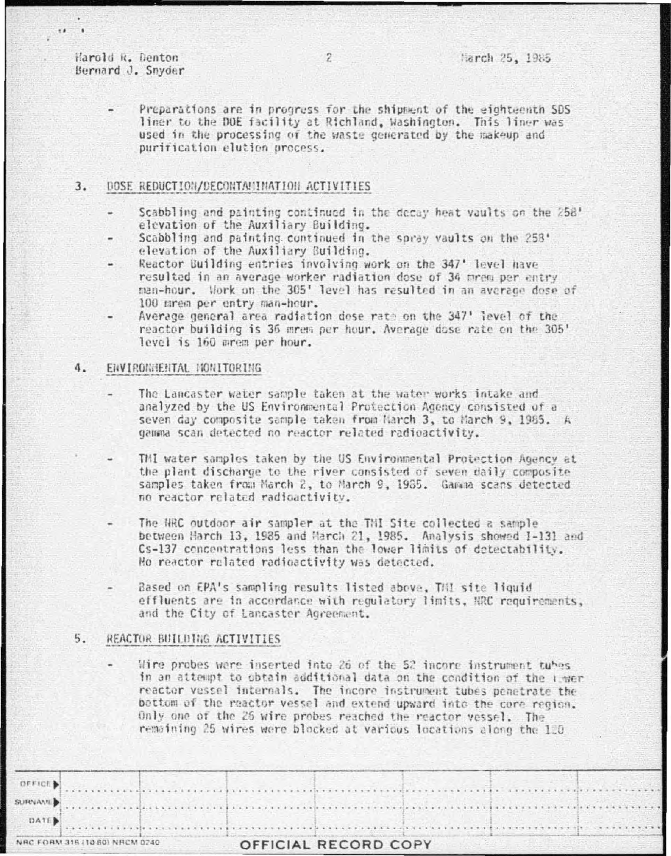Harold R. Denton Bernard J. Snyder

 $18 - 1$ 

Preparations are in progress for the shipment of the eighteenth SDS liner to the DOE facility at Richland, Washington. This liner was used in the processing of the waste generated by the makeup and purification elution process.

### $3.$ DOSE REDUCTION/DECONTAMINATION ACTIVITIES

- Scabbling and painting continued in the decay heat vaults on the 258' elevation of the Auxiliary Building.
- Scabbling and painting continued in the spray vaults on the 258' elevation of the Auxiliary Building.
- Reactor Building entries involving work on the 347' level have resulted in an average worker radiation dose of 34 mrem per entry man-hour. Work on the 305' level has resulted in an average dose of 100 mrem per entry man-hour.
- Average general area radiation dose rate on the 347' level of the reactor building is 36 mrem per hour. Average dose rate on the 305' level is 160 mrem per hour.

### $4.$ ENVIRONMENTAL NONITORING

- The Lancaster water sample taken at the water works intake and analyzed by the US Environmental Protection Agency consisted of a seven day composite sample taken from March 3, to March 9, 1985. A gamma scan detected no reactor related radioactivity.
- TMI water samples taken by the US Environmental Protection Agency at the plant discharge to the river consisted of seven daily composite samples taken from March 2, to March 9, 1985. Gamma scans detected no reactor related radioactivity.
- The NRC outdoor air sampler at the TNI Site collected a sample between Harch 13, 1985 and March 21, 1985. Analysis showed I-131 and Cs-137 concentrations less than the lower limits of detectability. No reactor related radioactivity was detected.
- Based on EPA's sampling results listed above, THI site liquid effluents are in accordance with requlatory limits, NRC requirements, and the City of Lancaster Agreement.

## 5. REACTOR BUILDING ACTIVITIES

Wire probes were inserted into 26 of the 52 incore instrument tubes in an attempt to obtain additional data on the condition of the Limer reactor vessel internals. The incore instrument tubes penetrate the bettom of the reactor vessel and extend upward into the core region. Only one of the 26 wire probes reached the reactor vessel. The remaining 25 wires were blocked at various locations along the 120

|                 | NRC FORM 318 (10.80) NRCM 0240 |                                                                                                               | OFFICIAL RECORD COPY |  |  |
|-----------------|--------------------------------|---------------------------------------------------------------------------------------------------------------|----------------------|--|--|
| DATE.           |                                |                                                                                                               |                      |  |  |
| <b>SURNAMED</b> |                                |                                                                                                               |                      |  |  |
| OFFICE D        |                                | when the control of the control of the control of the control of the control of the control of the control of |                      |  |  |
|                 |                                |                                                                                                               |                      |  |  |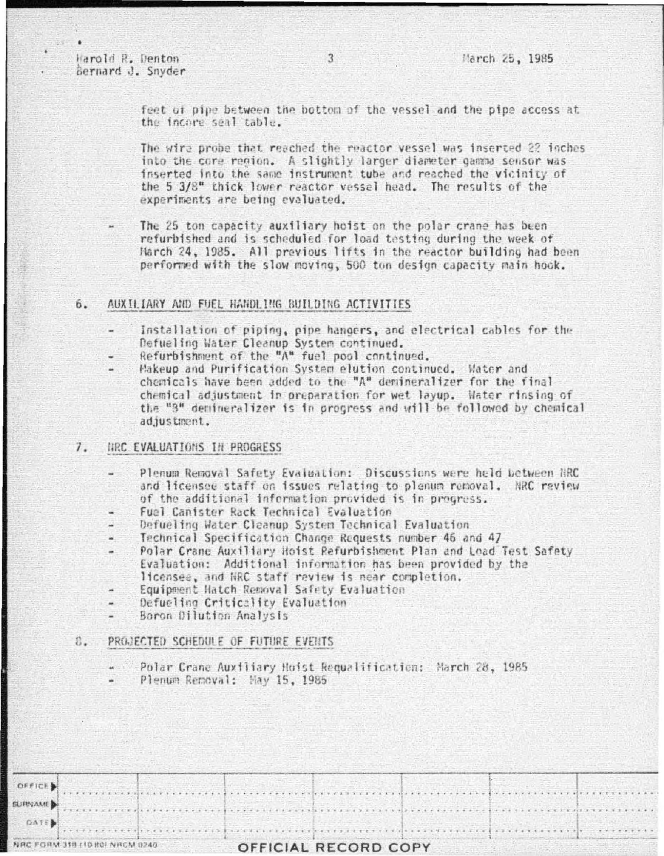Harold R. Denton Bernard J. Snyder

 $+ 1 - 1 - 1$ . . . . . .

feet of pipe between the bottom of the vessel and the pipe access at the incore seal table.

The wire probe that reached the reactor vessel was inserted 22 inches into the core region. A slightly larger diameter gamma sensor was inserted into the same instrument tube and reached the vicinity of the 5 3/8" thick lower reactor vessel head. The results of the experiments are being evaluated.

The 25 ton capacity auxiliary hoist on the polar crane has been refurbished and is scheduled for load testing during the week of Harch 24, 1985. All previous lifts in the reactor building had been performed with the slow moving, 500 ton design capacity main hock.

## 6. AUXILIARY AND FUEL HANDLING BUILDING ACTIVITIES

- Installation of piping, pipe hangers, and electrical cables for the Defueling Water Cleanup System continued.
- Refurbishment of the "A" fuel pool continued.
- Makeup and Purification System elution continued. Water and chemicals have been added to the "A" demineralizer for the final chemical adjustment in preparation for wet layup. Water rinsing of the "3" demineralizer is in progress and will be followed by chemical adjustment.

#### HRC EVALUATIONS IN PROGRESS 7.

- Plenum Removal Safety Evaluation: Discussions were held between NRC and licensee staff on issues relating to plenum removal. NRC review of the additional information provided is in progress.
- Fuel Canister Rack Technical Evaluation
- Defueling Water Cleanup System Technical Evaluation
- Technical Specification Change Requests number 46 and 47
- Polar Crane Auxiliary Hoist Refurbishment Plan and Load Test Safety Evaluation: Additional information has been provided by the licensee, and NRC staff review is near completion.
- Equipment Hatch Removal Safety Evaluation
- Defueling Criticality Evaluation
- Boron Dilution Analysis

#### $8.$ PROJECTED SCHEDULE OF FUTURE EVENTS

- Polar Crane Auxiliary Hoist Requalification: March 28, 1985
- Plenum Removal: Hay 15, 1985

|                 | NRC FORM 318 (10 HOLNRCM 0240) |  |  | OFFICIAL RECORD COPY |  |  |  |  |
|-----------------|--------------------------------|--|--|----------------------|--|--|--|--|
| <b>DATE</b>     |                                |  |  |                      |  |  |  |  |
| <b>SURVAMED</b> |                                |  |  |                      |  |  |  |  |
| OFFICE          |                                |  |  |                      |  |  |  |  |

 $\mathcal{R}$